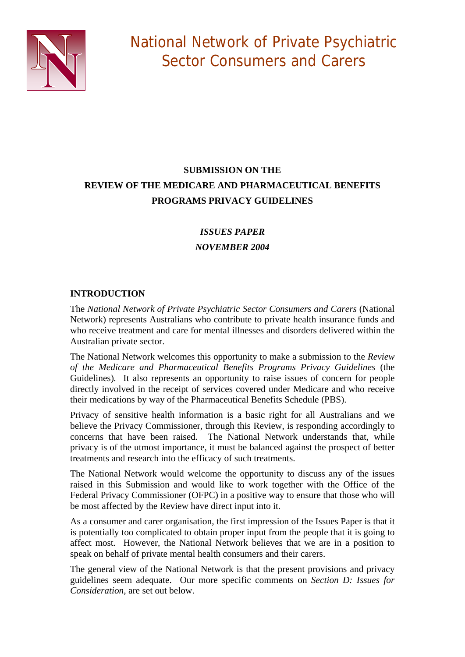

# **SUBMISSION ON THE REVIEW OF THE MEDICARE AND PHARMACEUTICAL BENEFITS PROGRAMS PRIVACY GUIDELINES**

# *ISSUES PAPER NOVEMBER 2004*

# **INTRODUCTION**

The *National Network of Private Psychiatric Sector Consumers and Carers* (National Network) represents Australians who contribute to private health insurance funds and who receive treatment and care for mental illnesses and disorders delivered within the Australian private sector.

The National Network welcomes this opportunity to make a submission to the *Review of the Medicare and Pharmaceutical Benefits Programs Privacy Guidelines* (the Guidelines)*.* It also represents an opportunity to raise issues of concern for people directly involved in the receipt of services covered under Medicare and who receive their medications by way of the Pharmaceutical Benefits Schedule (PBS).

Privacy of sensitive health information is a basic right for all Australians and we believe the Privacy Commissioner, through this Review, is responding accordingly to concerns that have been raised. The National Network understands that, while privacy is of the utmost importance, it must be balanced against the prospect of better treatments and research into the efficacy of such treatments.

The National Network would welcome the opportunity to discuss any of the issues raised in this Submission and would like to work together with the Office of the Federal Privacy Commissioner (OFPC) in a positive way to ensure that those who will be most affected by the Review have direct input into it.

As a consumer and carer organisation, the first impression of the Issues Paper is that it is potentially too complicated to obtain proper input from the people that it is going to affect most. However, the National Network believes that we are in a position to speak on behalf of private mental health consumers and their carers.

The general view of the National Network is that the present provisions and privacy guidelines seem adequate. Our more specific comments on *Section D: Issues for Consideration*, are set out below.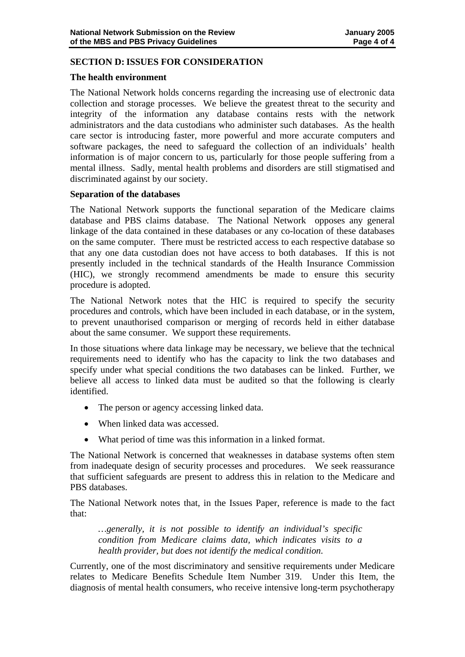## **SECTION D: ISSUES FOR CONSIDERATION**

#### **The health environment**

The National Network holds concerns regarding the increasing use of electronic data collection and storage processes. We believe the greatest threat to the security and integrity of the information any database contains rests with the network administrators and the data custodians who administer such databases. As the health care sector is introducing faster, more powerful and more accurate computers and software packages, the need to safeguard the collection of an individuals' health information is of major concern to us, particularly for those people suffering from a mental illness. Sadly, mental health problems and disorders are still stigmatised and discriminated against by our society.

#### **Separation of the databases**

The National Network supports the functional separation of the Medicare claims database and PBS claims database. The National Network opposes any general linkage of the data contained in these databases or any co-location of these databases on the same computer. There must be restricted access to each respective database so that any one data custodian does not have access to both databases. If this is not presently included in the technical standards of the Health Insurance Commission (HIC), we strongly recommend amendments be made to ensure this security procedure is adopted.

The National Network notes that the HIC is required to specify the security procedures and controls, which have been included in each database, or in the system, to prevent unauthorised comparison or merging of records held in either database about the same consumer. We support these requirements.

In those situations where data linkage may be necessary, we believe that the technical requirements need to identify who has the capacity to link the two databases and specify under what special conditions the two databases can be linked. Further, we believe all access to linked data must be audited so that the following is clearly identified.

- The person or agency accessing linked data.
- When linked data was accessed.
- What period of time was this information in a linked format.

The National Network is concerned that weaknesses in database systems often stem from inadequate design of security processes and procedures. We seek reassurance that sufficient safeguards are present to address this in relation to the Medicare and PBS databases.

The National Network notes that, in the Issues Paper, reference is made to the fact that:

*…generally, it is not possible to identify an individual's specific condition from Medicare claims data, which indicates visits to a health provider, but does not identify the medical condition*.

Currently, one of the most discriminatory and sensitive requirements under Medicare relates to Medicare Benefits Schedule Item Number 319. Under this Item, the diagnosis of mental health consumers, who receive intensive long-term psychotherapy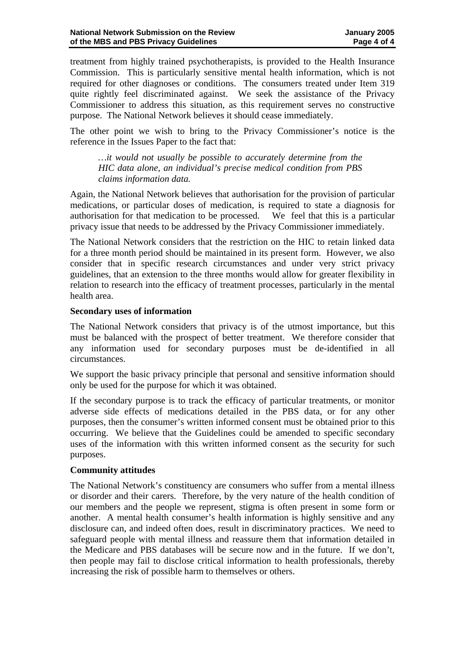treatment from highly trained psychotherapists, is provided to the Health Insurance Commission. This is particularly sensitive mental health information, which is not required for other diagnoses or conditions. The consumers treated under Item 319 quite rightly feel discriminated against. We seek the assistance of the Privacy Commissioner to address this situation, as this requirement serves no constructive purpose. The National Network believes it should cease immediately.

The other point we wish to bring to the Privacy Commissioner's notice is the reference in the Issues Paper to the fact that:

*…it would not usually be possible to accurately determine from the HIC data alone, an individual's precise medical condition from PBS claims information data.* 

Again, the National Network believes that authorisation for the provision of particular medications, or particular doses of medication, is required to state a diagnosis for authorisation for that medication to be processed. We feel that this is a particular privacy issue that needs to be addressed by the Privacy Commissioner immediately.

The National Network considers that the restriction on the HIC to retain linked data for a three month period should be maintained in its present form. However, we also consider that in specific research circumstances and under very strict privacy guidelines, that an extension to the three months would allow for greater flexibility in relation to research into the efficacy of treatment processes, particularly in the mental health area.

#### **Secondary uses of information**

The National Network considers that privacy is of the utmost importance, but this must be balanced with the prospect of better treatment. We therefore consider that any information used for secondary purposes must be de-identified in all circumstances.

We support the basic privacy principle that personal and sensitive information should only be used for the purpose for which it was obtained.

If the secondary purpose is to track the efficacy of particular treatments, or monitor adverse side effects of medications detailed in the PBS data, or for any other purposes, then the consumer's written informed consent must be obtained prior to this occurring. We believe that the Guidelines could be amended to specific secondary uses of the information with this written informed consent as the security for such purposes.

#### **Community attitudes**

The National Network's constituency are consumers who suffer from a mental illness or disorder and their carers. Therefore, by the very nature of the health condition of our members and the people we represent, stigma is often present in some form or another. A mental health consumer's health information is highly sensitive and any disclosure can, and indeed often does, result in discriminatory practices. We need to safeguard people with mental illness and reassure them that information detailed in the Medicare and PBS databases will be secure now and in the future. If we don't, then people may fail to disclose critical information to health professionals, thereby increasing the risk of possible harm to themselves or others.